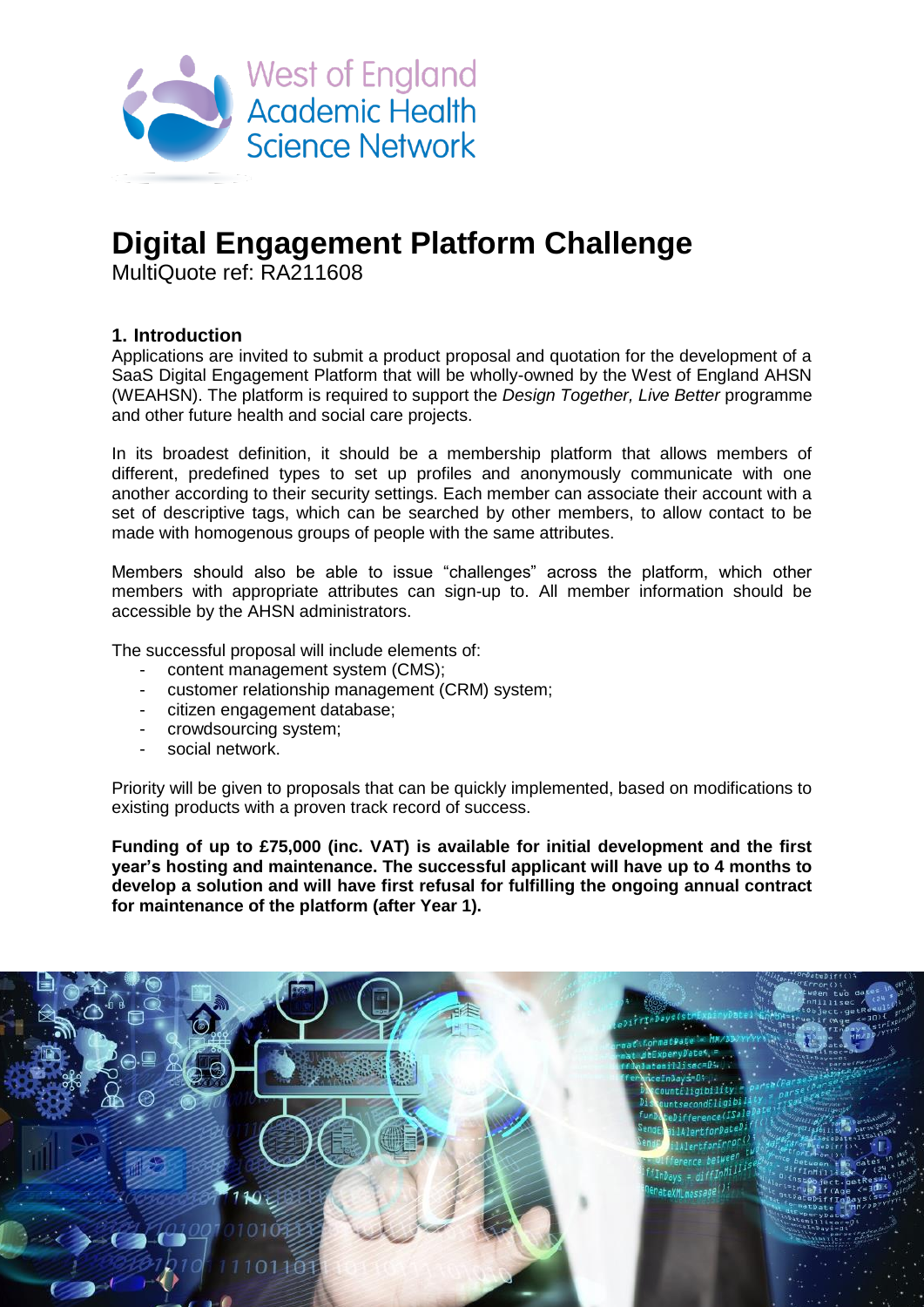

# **Digital Engagement Platform Challenge**

MultiQuote ref: RA211608

### **1. Introduction**

Applications are invited to submit a product proposal and quotation for the development of a SaaS Digital Engagement Platform that will be wholly-owned by the West of England AHSN (WEAHSN). The platform is required to support the *Design Together, Live Better* programme and other future health and social care projects.

In its broadest definition, it should be a membership platform that allows members of different, predefined types to set up profiles and anonymously communicate with one another according to their security settings. Each member can associate their account with a set of descriptive tags, which can be searched by other members, to allow contact to be made with homogenous groups of people with the same attributes.

Members should also be able to issue "challenges" across the platform, which other members with appropriate attributes can sign-up to. All member information should be accessible by the AHSN administrators.

The successful proposal will include elements of:

- content management system (CMS);
- customer relationship management (CRM) system;
- citizen engagement database;
- crowdsourcing system;
- social network.

Priority will be given to proposals that can be quickly implemented, based on modifications to existing products with a proven track record of success.

**Funding of up to £75,000 (inc. VAT) is available for initial development and the first year's hosting and maintenance. The successful applicant will have up to 4 months to develop a solution and will have first refusal for fulfilling the ongoing annual contract for maintenance of the platform (after Year 1).**

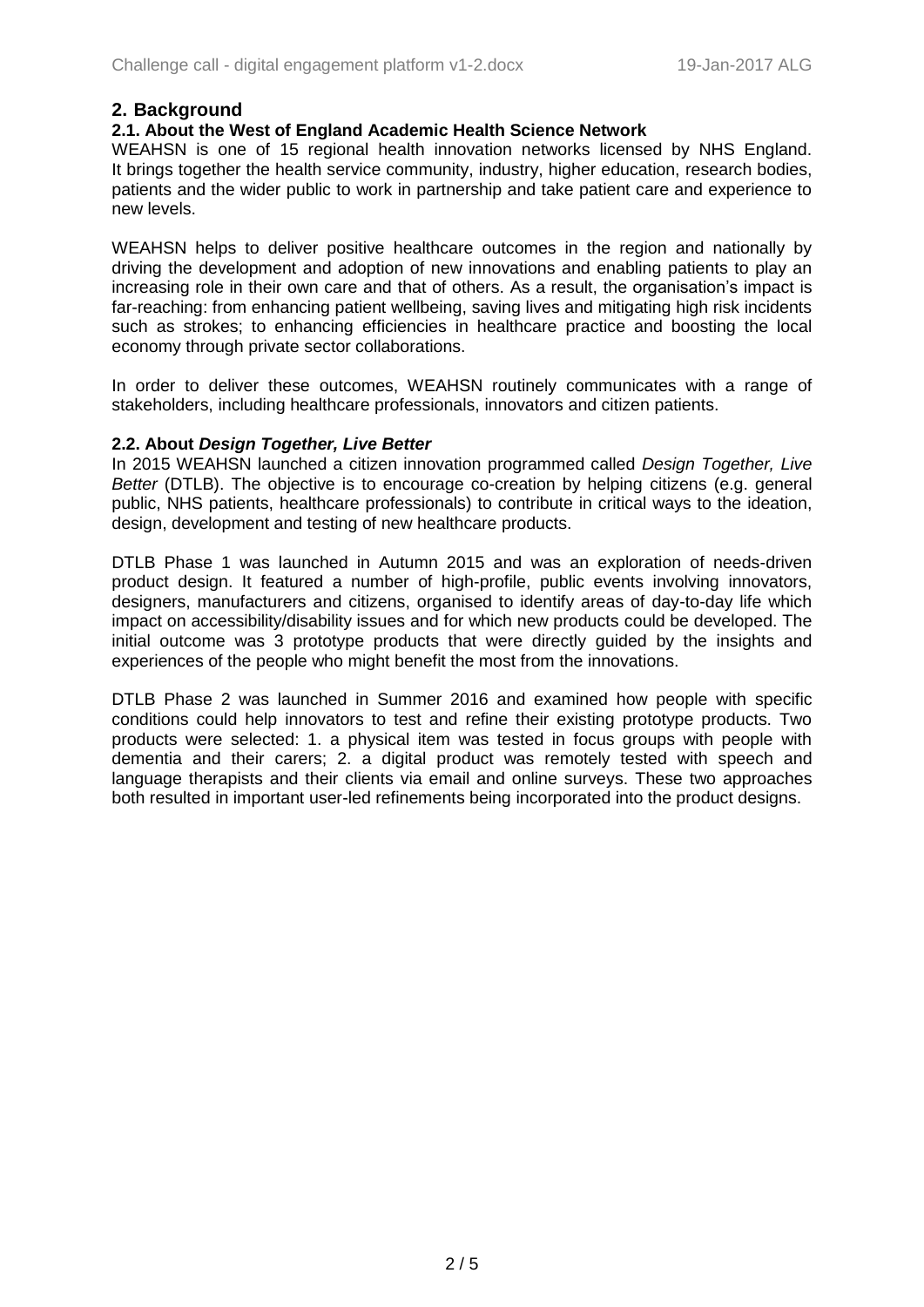# **2. Background**

#### **2.1. About the West of England Academic Health Science Network**

WEAHSN is one of 15 regional health innovation networks licensed by NHS England. It brings together the health service community, industry, higher education, research bodies, patients and the wider public to work in partnership and take patient care and experience to new levels.

WEAHSN helps to deliver positive healthcare outcomes in the region and nationally by driving the development and adoption of new innovations and enabling patients to play an increasing role in their own care and that of others. As a result, the organisation's impact is far-reaching: from enhancing patient wellbeing, saving lives and mitigating high risk incidents such as strokes; to enhancing efficiencies in healthcare practice and boosting the local economy through private sector collaborations.

In order to deliver these outcomes, WEAHSN routinely communicates with a range of stakeholders, including healthcare professionals, innovators and citizen patients.

#### **2.2. About** *Design Together, Live Better*

In 2015 WEAHSN launched a citizen innovation programmed called *Design Together, Live Better* (DTLB). The objective is to encourage co-creation by helping citizens (e.g. general public, NHS patients, healthcare professionals) to contribute in critical ways to the ideation, design, development and testing of new healthcare products.

DTLB Phase 1 was launched in Autumn 2015 and was an exploration of needs-driven product design. It featured a number of high-profile, public events involving innovators, designers, manufacturers and citizens, organised to identify areas of day-to-day life which impact on accessibility/disability issues and for which new products could be developed. The initial outcome was 3 prototype products that were directly guided by the insights and experiences of the people who might benefit the most from the innovations.

DTLB Phase 2 was launched in Summer 2016 and examined how people with specific conditions could help innovators to test and refine their existing prototype products. Two products were selected: 1. a physical item was tested in focus groups with people with dementia and their carers; 2. a digital product was remotely tested with speech and language therapists and their clients via email and online surveys. These two approaches both resulted in important user-led refinements being incorporated into the product designs.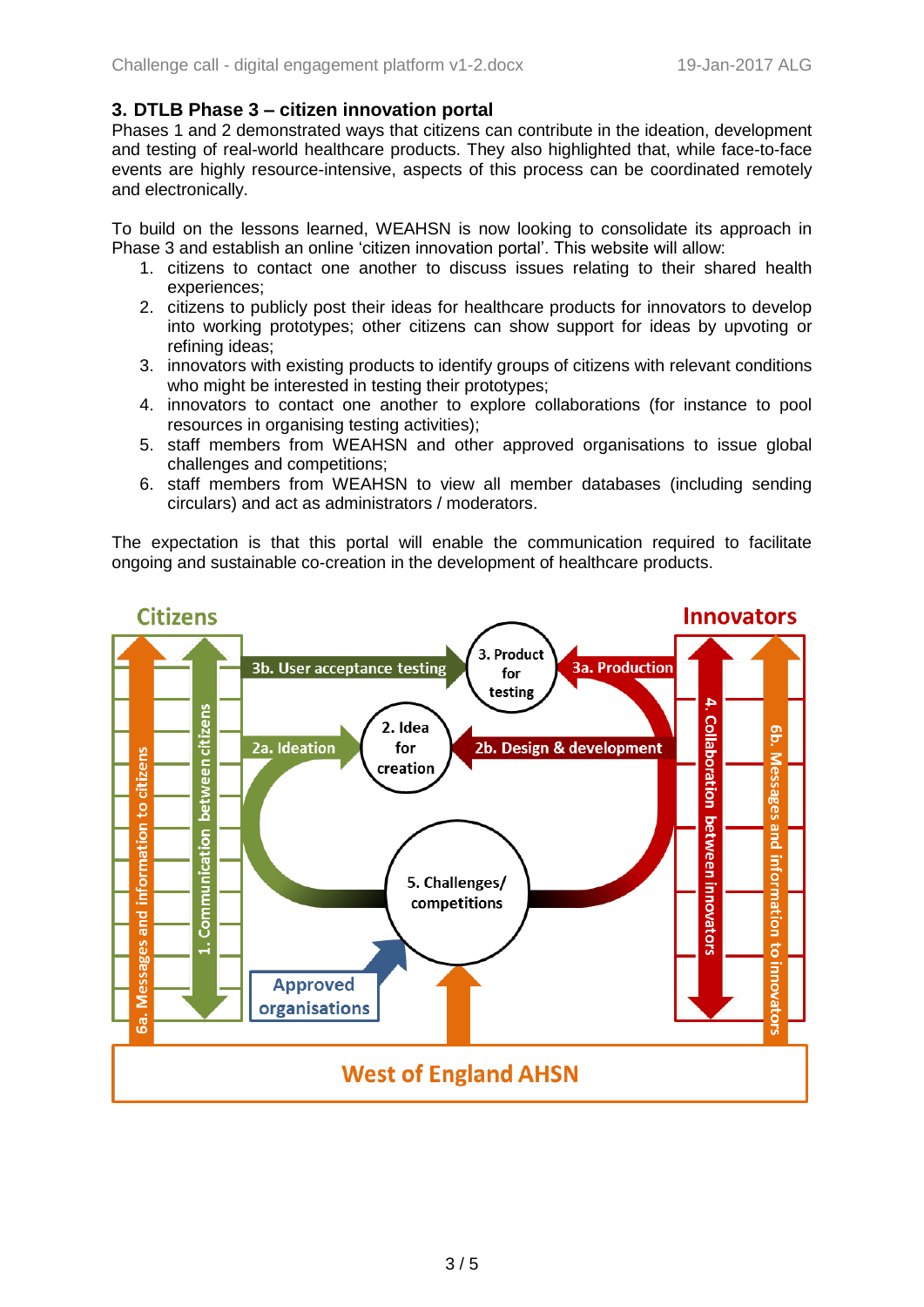## **3. DTLB Phase 3 – citizen innovation portal**

Phases 1 and 2 demonstrated ways that citizens can contribute in the ideation, development and testing of real-world healthcare products. They also highlighted that, while face-to-face events are highly resource-intensive, aspects of this process can be coordinated remotely and electronically.

To build on the lessons learned, WEAHSN is now looking to consolidate its approach in Phase 3 and establish an online 'citizen innovation portal'. This website will allow:

- 1. citizens to contact one another to discuss issues relating to their shared health experiences;
- 2. citizens to publicly post their ideas for healthcare products for innovators to develop into working prototypes; other citizens can show support for ideas by upvoting or refining ideas;
- 3. innovators with existing products to identify groups of citizens with relevant conditions who might be interested in testing their prototypes;
- 4. innovators to contact one another to explore collaborations (for instance to pool resources in organising testing activities);
- 5. staff members from WEAHSN and other approved organisations to issue global challenges and competitions;
- 6. staff members from WEAHSN to view all member databases (including sending circulars) and act as administrators / moderators.

The expectation is that this portal will enable the communication required to facilitate ongoing and sustainable co-creation in the development of healthcare products.

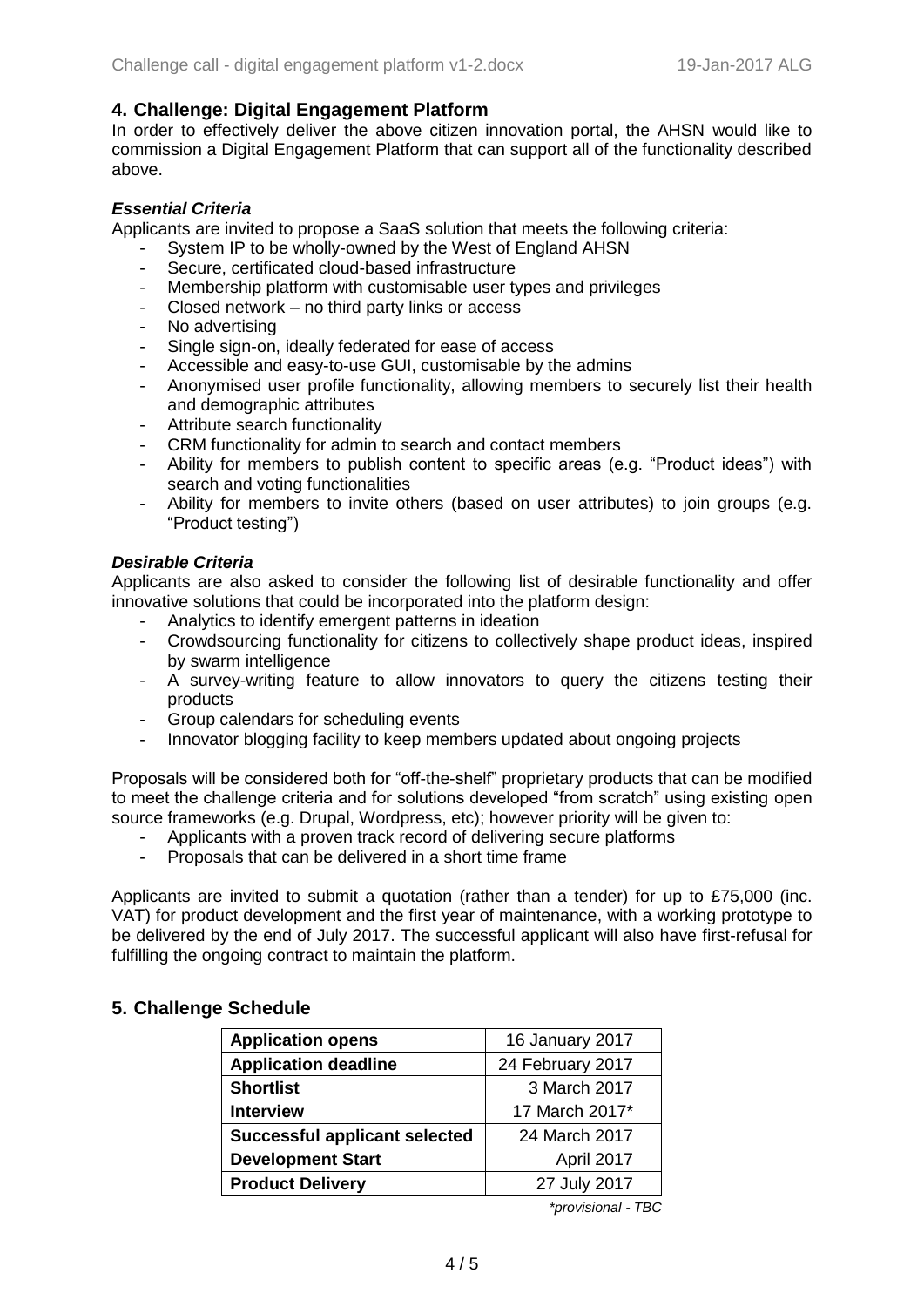## **4. Challenge: Digital Engagement Platform**

In order to effectively deliver the above citizen innovation portal, the AHSN would like to commission a Digital Engagement Platform that can support all of the functionality described above.

## *Essential Criteria*

Applicants are invited to propose a SaaS solution that meets the following criteria:

- System IP to be wholly-owned by the West of England AHSN
- Secure, certificated cloud-based infrastructure
- Membership platform with customisable user types and privileges
- Closed network no third party links or access
- No advertising
- Single sign-on, ideally federated for ease of access
- Accessible and easy-to-use GUI, customisable by the admins
- Anonymised user profile functionality, allowing members to securely list their health and demographic attributes
- Attribute search functionality
- CRM functionality for admin to search and contact members
- Ability for members to publish content to specific areas (e.g. "Product ideas") with search and voting functionalities
- Ability for members to invite others (based on user attributes) to join groups (e.g. "Product testing")

## *Desirable Criteria*

Applicants are also asked to consider the following list of desirable functionality and offer innovative solutions that could be incorporated into the platform design:

- Analytics to identify emergent patterns in ideation
- Crowdsourcing functionality for citizens to collectively shape product ideas, inspired by swarm intelligence
- A survey-writing feature to allow innovators to query the citizens testing their products
- Group calendars for scheduling events
- Innovator blogging facility to keep members updated about ongoing projects

Proposals will be considered both for "off-the-shelf" proprietary products that can be modified to meet the challenge criteria and for solutions developed "from scratch" using existing open source frameworks (e.g. Drupal, Wordpress, etc); however priority will be given to:

- Applicants with a proven track record of delivering secure platforms
- Proposals that can be delivered in a short time frame

Applicants are invited to submit a quotation (rather than a tender) for up to £75,000 (inc. VAT) for product development and the first year of maintenance, with a working prototype to be delivered by the end of July 2017. The successful applicant will also have first-refusal for fulfilling the ongoing contract to maintain the platform.

## **5. Challenge Schedule**

| <b>Application opens</b>             | 16 January 2017  |
|--------------------------------------|------------------|
| <b>Application deadline</b>          | 24 February 2017 |
| <b>Shortlist</b>                     | 3 March 2017     |
| <b>Interview</b>                     | 17 March 2017*   |
| <b>Successful applicant selected</b> | 24 March 2017    |
| <b>Development Start</b>             | April 2017       |
| <b>Product Delivery</b>              | 27 July 2017     |

*\*provisional - TBC*